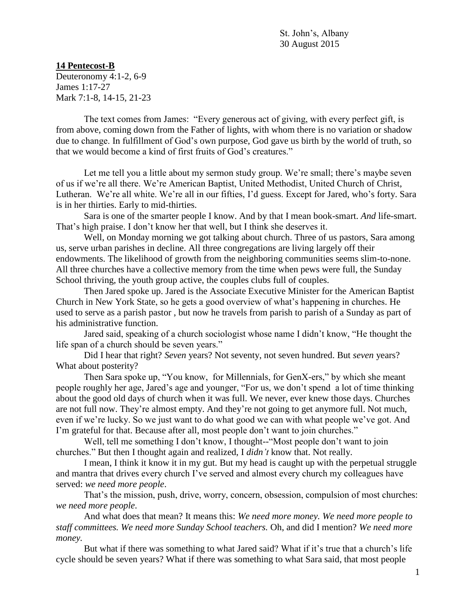St. John's, Albany 30 August 2015

## **14 Pentecost-B**

Deuteronomy 4:1-2, 6-9 James 1:17-27 Mark 7:1-8, 14-15, 21-23

The text comes from James: "Every generous act of giving, with every perfect gift, is from above, coming down from the Father of lights, with whom there is no variation or shadow due to change. In fulfillment of God's own purpose, God gave us birth by the world of truth, so that we would become a kind of first fruits of God's creatures."

Let me tell you a little about my sermon study group. We're small; there's maybe seven of us if we're all there. We're American Baptist, United Methodist, United Church of Christ, Lutheran. We're all white. We're all in our fifties, I'd guess. Except for Jared, who's forty. Sara is in her thirties. Early to mid-thirties.

Sara is one of the smarter people I know. And by that I mean book-smart. *And* life-smart. That's high praise. I don't know her that well, but I think she deserves it.

Well, on Monday morning we got talking about church. Three of us pastors, Sara among us, serve urban parishes in decline. All three congregations are living largely off their endowments. The likelihood of growth from the neighboring communities seems slim-to-none. All three churches have a collective memory from the time when pews were full, the Sunday School thriving, the youth group active, the couples clubs full of couples.

Then Jared spoke up. Jared is the Associate Executive Minister for the American Baptist Church in New York State, so he gets a good overview of what's happening in churches. He used to serve as a parish pastor , but now he travels from parish to parish of a Sunday as part of his administrative function.

Jared said, speaking of a church sociologist whose name I didn't know, "He thought the life span of a church should be seven years."

Did I hear that right? *Seven* years? Not seventy, not seven hundred. But *seven* years? What about posterity?

Then Sara spoke up, "You know, for Millennials, for GenX-ers," by which she meant people roughly her age, Jared's age and younger, "For us, we don't spend a lot of time thinking about the good old days of church when it was full. We never, ever knew those days. Churches are not full now. They're almost empty. And they're not going to get anymore full. Not much, even if we're lucky. So we just want to do what good we can with what people we've got. And I'm grateful for that. Because after all, most people don't want to join churches."

Well, tell me something I don't know, I thought--"Most people don't want to join churches." But then I thought again and realized, I *didn't* know that. Not really.

I mean, I think it know it in my gut. But my head is caught up with the perpetual struggle and mantra that drives every church I've served and almost every church my colleagues have served: *we need more people*.

That's the mission, push, drive, worry, concern, obsession, compulsion of most churches: *we need more people*.

And what does that mean? It means this: *We need more money. We need more people to staff committees. We need more Sunday School teachers.* Oh, and did I mention? *We need more money.*

But what if there was something to what Jared said? What if it's true that a church's life cycle should be seven years? What if there was something to what Sara said, that most people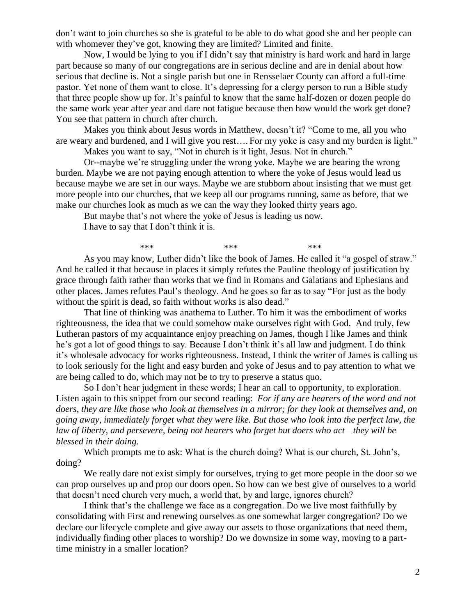don't want to join churches so she is grateful to be able to do what good she and her people can with whomever they've got, knowing they are limited? Limited and finite.

Now, I would be lying to you if I didn't say that ministry is hard work and hard in large part because so many of our congregations are in serious decline and are in denial about how serious that decline is. Not a single parish but one in Rensselaer County can afford a full-time pastor. Yet none of them want to close. It's depressing for a clergy person to run a Bible study that three people show up for. It's painful to know that the same half-dozen or dozen people do the same work year after year and dare not fatigue because then how would the work get done? You see that pattern in church after church.

Makes you think about Jesus words in Matthew, doesn't it? "Come to me, all you who are weary and burdened, and I will give you rest…. For my yoke is easy and my burden is light."

Makes you want to say, "Not in church is it light, Jesus. Not in church."

Or--maybe we're struggling under the wrong yoke. Maybe we are bearing the wrong burden. Maybe we are not paying enough attention to where the yoke of Jesus would lead us because maybe we are set in our ways. Maybe we are stubborn about insisting that we must get more people into our churches, that we keep all our programs running, same as before, that we make our churches look as much as we can the way they looked thirty years ago.

But maybe that's not where the yoke of Jesus is leading us now.

I have to say that I don't think it is.

\*\*\* \*\*\* \*\*\* \*\*\* \*\*\* As you may know, Luther didn't like the book of James. He called it "a gospel of straw." And he called it that because in places it simply refutes the Pauline theology of justification by grace through faith rather than works that we find in Romans and Galatians and Ephesians and other places. James refutes Paul's theology. And he goes so far as to say "For just as the body without the spirit is dead, so faith without works is also dead."

That line of thinking was anathema to Luther. To him it was the embodiment of works righteousness, the idea that we could somehow make ourselves right with God. And truly, few Lutheran pastors of my acquaintance enjoy preaching on James, though I like James and think he's got a lot of good things to say. Because I don't think it's all law and judgment. I do think it's wholesale advocacy for works righteousness. Instead, I think the writer of James is calling us to look seriously for the light and easy burden and yoke of Jesus and to pay attention to what we are being called to do, which may not be to try to preserve a status quo.

So I don't hear judgment in these words; I hear an call to opportunity, to exploration. Listen again to this snippet from our second reading: *For if any are hearers of the word and not doers, they are like those who look at themselves in a mirror; for they look at themselves and, on going away, immediately forget what they were like. But those who look into the perfect law, the law of liberty, and persevere, being not hearers who forget but doers who act—they will be blessed in their doing.*

Which prompts me to ask: What is the church doing? What is our church, St. John's, doing?

We really dare not exist simply for ourselves, trying to get more people in the door so we can prop ourselves up and prop our doors open. So how can we best give of ourselves to a world that doesn't need church very much, a world that, by and large, ignores church?

I think that's the challenge we face as a congregation. Do we live most faithfully by consolidating with First and renewing ourselves as one somewhat larger congregation? Do we declare our lifecycle complete and give away our assets to those organizations that need them, individually finding other places to worship? Do we downsize in some way, moving to a parttime ministry in a smaller location?